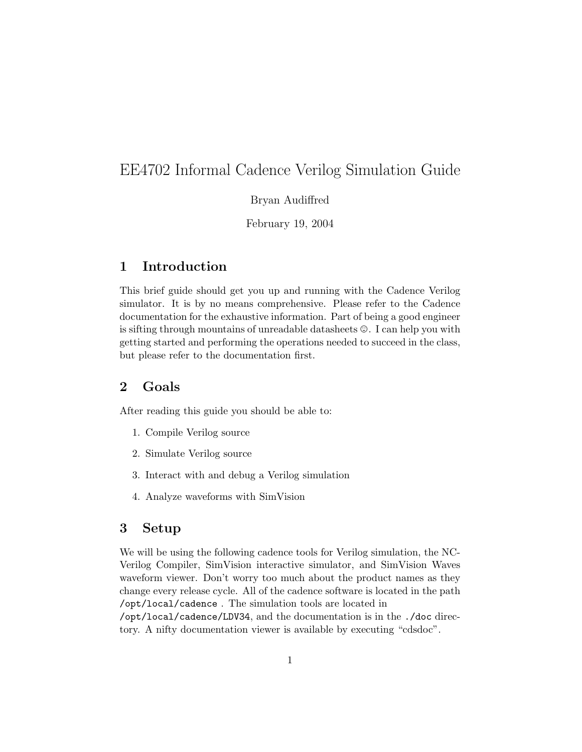# EE4702 Informal Cadence Verilog Simulation Guide

Bryan Audiffred

February 19, 2004

# 1 Introduction

This brief guide should get you up and running with the Cadence Verilog simulator. It is by no means comprehensive. Please refer to the Cadence documentation for the exhaustive information. Part of being a good engineer is sifting through mountains of unreadable datasheets  $\mathcal{O}$ . I can help you with getting started and performing the operations needed to succeed in the class, but please refer to the documentation first.

## 2 Goals

After reading this guide you should be able to:

- 1. Compile Verilog source
- 2. Simulate Verilog source
- 3. Interact with and debug a Verilog simulation
- 4. Analyze waveforms with SimVision

# 3 Setup

We will be using the following cadence tools for Verilog simulation, the NC-Verilog Compiler, SimVision interactive simulator, and SimVision Waves waveform viewer. Don't worry too much about the product names as they change every release cycle. All of the cadence software is located in the path /opt/local/cadence . The simulation tools are located in

/opt/local/cadence/LDV34, and the documentation is in the ./doc directory. A nifty documentation viewer is available by executing "cdsdoc".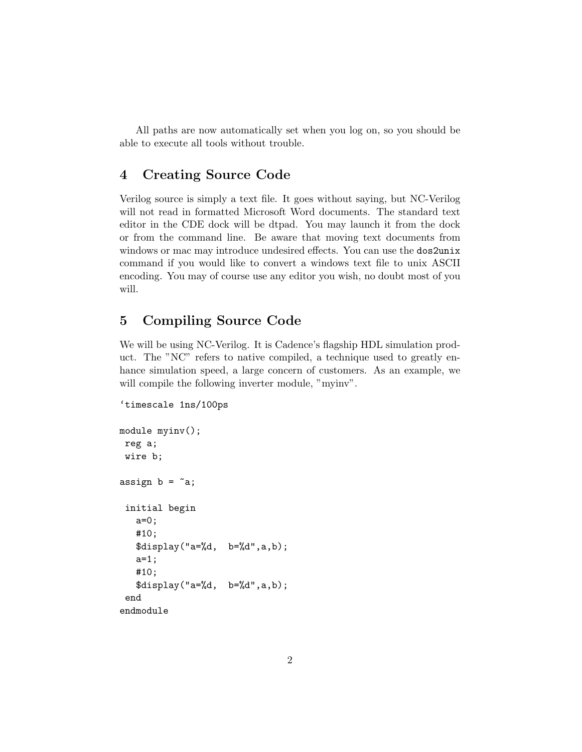All paths are now automatically set when you log on, so you should be able to execute all tools without trouble.

### 4 Creating Source Code

Verilog source is simply a text file. It goes without saying, but NC-Verilog will not read in formatted Microsoft Word documents. The standard text editor in the CDE dock will be dtpad. You may launch it from the dock or from the command line. Be aware that moving text documents from windows or mac may introduce undesired effects. You can use the dos2unix command if you would like to convert a windows text file to unix ASCII encoding. You may of course use any editor you wish, no doubt most of you will.

# 5 Compiling Source Code

We will be using NC-Verilog. It is Cadence's flagship HDL simulation product. The "NC" refers to native compiled, a technique used to greatly enhance simulation speed, a large concern of customers. As an example, we will compile the following inverter module, "myinv".

```
'timescale 1ns/100ps
```

```
module myinv();
 reg a;
 wire b;
assign b = \tilde{a};
 initial begin
   a=0;
   #10;
   $display("a=%d, b=%d",a,b);
   a=1;
   #10;
   $display("a=%d, b=%d",a,b);
 end
endmodule
```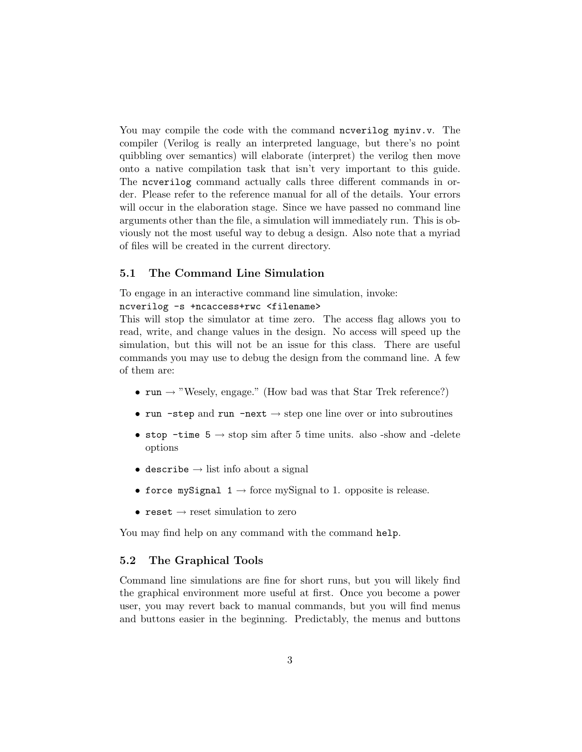You may compile the code with the command ncverilog myinv.v. The compiler (Verilog is really an interpreted language, but there's no point quibbling over semantics) will elaborate (interpret) the verilog then move onto a native compilation task that isn't very important to this guide. The ncverilog command actually calls three different commands in order. Please refer to the reference manual for all of the details. Your errors will occur in the elaboration stage. Since we have passed no command line arguments other than the file, a simulation will immediately run. This is obviously not the most useful way to debug a design. Also note that a myriad of files will be created in the current directory.

#### 5.1 The Command Line Simulation

To engage in an interactive command line simulation, invoke:

#### ncverilog -s +ncaccess+rwc <filename>

This will stop the simulator at time zero. The access flag allows you to read, write, and change values in the design. No access will speed up the simulation, but this will not be an issue for this class. There are useful commands you may use to debug the design from the command line. A few of them are:

- run  $\rightarrow$  "Wesely, engage." (How bad was that Star Trek reference?)
- run -step and run -next  $\rightarrow$  step one line over or into subroutines
- stop -time  $5 \rightarrow$  stop sim after 5 time units. also -show and -delete options
- describe  $\rightarrow$  list info about a signal
- force mySignal  $1 \rightarrow$  force mySignal to 1. opposite is release.
- reset  $\rightarrow$  reset simulation to zero

You may find help on any command with the command help.

#### 5.2 The Graphical Tools

Command line simulations are fine for short runs, but you will likely find the graphical environment more useful at first. Once you become a power user, you may revert back to manual commands, but you will find menus and buttons easier in the beginning. Predictably, the menus and buttons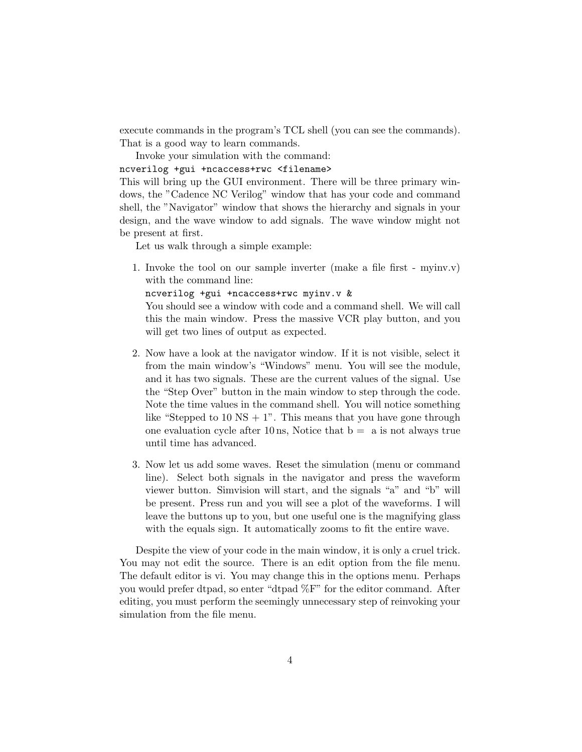execute commands in the program's TCL shell (you can see the commands). That is a good way to learn commands.

Invoke your simulation with the command: ncverilog +gui +ncaccess+rwc <filename>

This will bring up the GUI environment. There will be three primary windows, the "Cadence NC Verilog" window that has your code and command shell, the "Navigator" window that shows the hierarchy and signals in your design, and the wave window to add signals. The wave window might not be present at first.

Let us walk through a simple example:

1. Invoke the tool on our sample inverter (make a file first - myinv.v) with the command line:

ncverilog +gui +ncaccess+rwc myinv.v &

You should see a window with code and a command shell. We will call this the main window. Press the massive VCR play button, and you will get two lines of output as expected.

- 2. Now have a look at the navigator window. If it is not visible, select it from the main window's "Windows" menu. You will see the module, and it has two signals. These are the current values of the signal. Use the "Step Over" button in the main window to step through the code. Note the time values in the command shell. You will notice something like "Stepped to  $10 \text{ NS} + 1$ ". This means that you have gone through one evaluation cycle after 10 ns, Notice that  $b = a$  is not always true until time has advanced.
- 3. Now let us add some waves. Reset the simulation (menu or command line). Select both signals in the navigator and press the waveform viewer button. Simvision will start, and the signals "a" and "b" will be present. Press run and you will see a plot of the waveforms. I will leave the buttons up to you, but one useful one is the magnifying glass with the equals sign. It automatically zooms to fit the entire wave.

Despite the view of your code in the main window, it is only a cruel trick. You may not edit the source. There is an edit option from the file menu. The default editor is vi. You may change this in the options menu. Perhaps you would prefer dtpad, so enter "dtpad %F" for the editor command. After editing, you must perform the seemingly unnecessary step of reinvoking your simulation from the file menu.